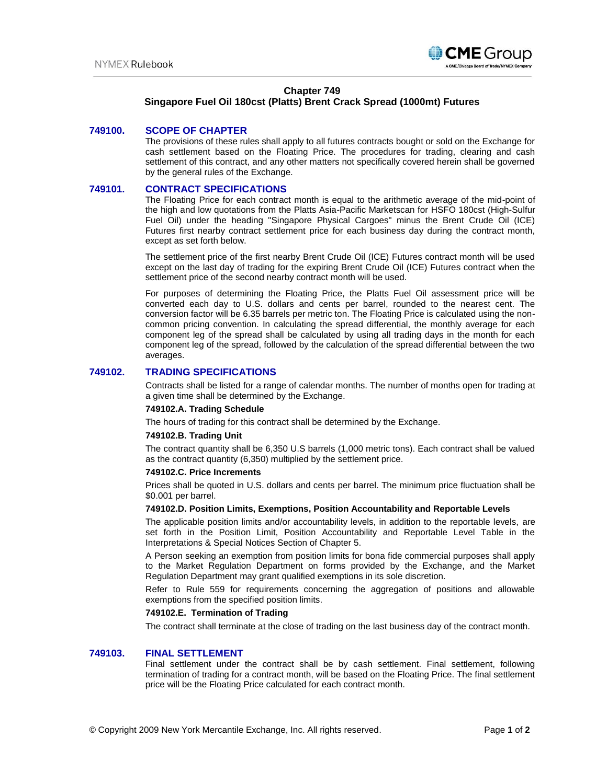

# **Chapter 749**

# **Singapore Fuel Oil 180cst (Platts) Brent Crack Spread (1000mt) Futures**

### **749100. SCOPE OF CHAPTER**

The provisions of these rules shall apply to all futures contracts bought or sold on the Exchange for cash settlement based on the Floating Price. The procedures for trading, clearing and cash settlement of this contract, and any other matters not specifically covered herein shall be governed by the general rules of the Exchange.

### **749101. CONTRACT SPECIFICATIONS**

The Floating Price for each contract month is equal to the arithmetic average of the mid-point of the high and low quotations from the Platts Asia-Pacific Marketscan for HSFO 180cst (High-Sulfur Fuel Oil) under the heading "Singapore Physical Cargoes" minus the Brent Crude Oil (ICE) Futures first nearby contract settlement price for each business day during the contract month, except as set forth below.

The settlement price of the first nearby Brent Crude Oil (ICE) Futures contract month will be used except on the last day of trading for the expiring Brent Crude Oil (ICE) Futures contract when the settlement price of the second nearby contract month will be used.

For purposes of determining the Floating Price, the Platts Fuel Oil assessment price will be converted each day to U.S. dollars and cents per barrel, rounded to the nearest cent. The conversion factor will be 6.35 barrels per metric ton. The Floating Price is calculated using the noncommon pricing convention. In calculating the spread differential, the monthly average for each component leg of the spread shall be calculated by using all trading days in the month for each component leg of the spread, followed by the calculation of the spread differential between the two averages.

# **749102. TRADING SPECIFICATIONS**

Contracts shall be listed for a range of calendar months. The number of months open for trading at a given time shall be determined by the Exchange.

#### **749102.A. Trading Schedule**

The hours of trading for this contract shall be determined by the Exchange.

#### **749102.B. Trading Unit**

The contract quantity shall be 6,350 U.S barrels (1,000 metric tons). Each contract shall be valued as the contract quantity (6,350) multiplied by the settlement price.

### **749102.C. Price Increments**

Prices shall be quoted in U.S. dollars and cents per barrel. The minimum price fluctuation shall be \$0.001 per barrel.

#### **749102.D. Position Limits, Exemptions, Position Accountability and Reportable Levels**

The applicable position limits and/or accountability levels, in addition to the reportable levels, are set forth in the Position Limit, Position Accountability and Reportable Level Table in the Interpretations & Special Notices Section of Chapter 5.

A Person seeking an exemption from position limits for bona fide commercial purposes shall apply to the Market Regulation Department on forms provided by the Exchange, and the Market Regulation Department may grant qualified exemptions in its sole discretion.

Refer to Rule 559 for requirements concerning the aggregation of positions and allowable exemptions from the specified position limits.

#### **749102.E. Termination of Trading**

The contract shall terminate at the close of trading on the last business day of the contract month.

### **749103. FINAL SETTLEMENT**

Final settlement under the contract shall be by cash settlement. Final settlement, following termination of trading for a contract month, will be based on the Floating Price. The final settlement price will be the Floating Price calculated for each contract month.